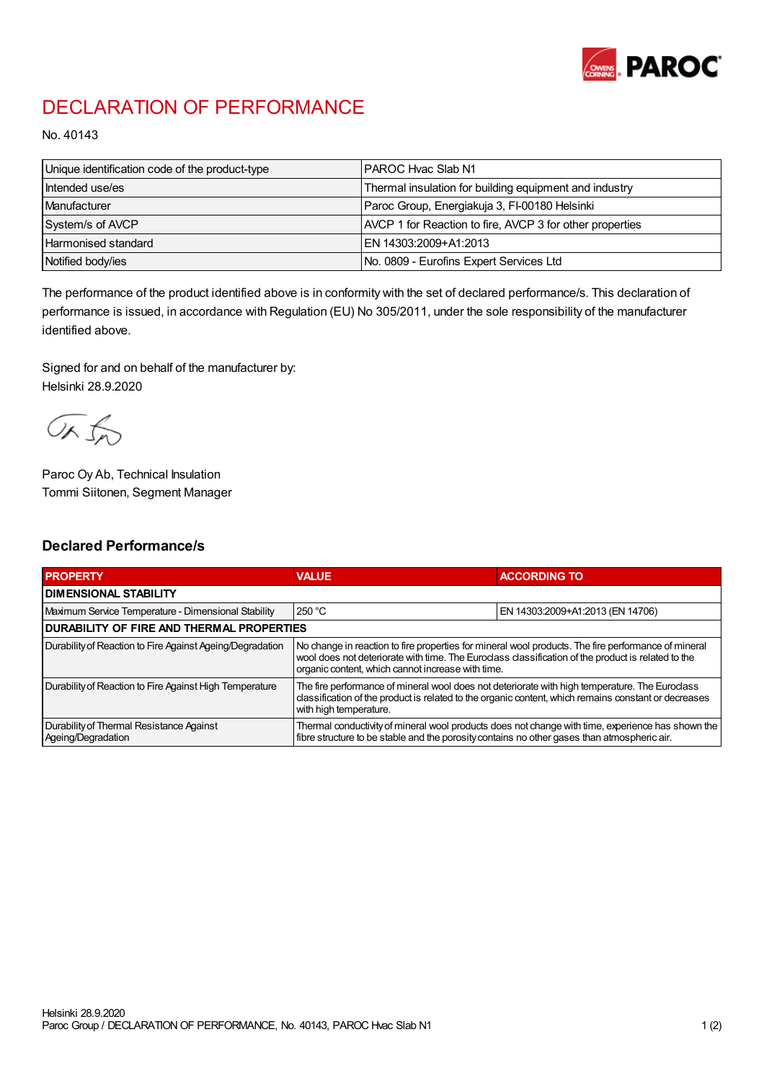

## DECLARATION OF PERFORMANCE

No. 40143

| Unique identification code of the product-type | PAROC Hvac Slab N1                                       |
|------------------------------------------------|----------------------------------------------------------|
| Intended use/es                                | Thermal insulation for building equipment and industry   |
| Manufacturer                                   | Paroc Group, Energiakuja 3, FI-00180 Helsinki            |
| System/s of AVCP                               | AVCP 1 for Reaction to fire, AVCP 3 for other properties |
| <b>Harmonised standard</b>                     | EN 14303:2009+A1:2013                                    |
| Notified body/ies                              | No. 0809 - Eurofins Expert Services Ltd                  |

The performance of the product identified above is in conformity with the set of declared performance/s. This declaration of performance is issued, in accordance with Regulation (EU) No 305/2011, under the sole responsibility of the manufacturer identified above.

Signed for and on behalf of the manufacturer by: Helsinki 28.9.2020

ORJO

Paroc Oy Ab, Technical Insulation Tommi Siitonen, Segment Manager

## Declared Performance/s

| <b>PROPERTY</b>                                                | <b>VALUE</b>                                                                                                                                                                                                                                                   | <b>ACCORDING TO</b>              |  |
|----------------------------------------------------------------|----------------------------------------------------------------------------------------------------------------------------------------------------------------------------------------------------------------------------------------------------------------|----------------------------------|--|
| <b>I DIMENSIONAL STABILITY</b>                                 |                                                                                                                                                                                                                                                                |                                  |  |
| Maximum Service Temperature - Dimensional Stability            | 250 °C                                                                                                                                                                                                                                                         | EN 14303:2009+A1:2013 (EN 14706) |  |
| <b>DURABILITY OF FIRE AND THERMAL PROPERTIES</b>               |                                                                                                                                                                                                                                                                |                                  |  |
| Durability of Reaction to Fire Against Ageing/Degradation      | No change in reaction to fire properties for mineral wool products. The fire performance of mineral<br>wool does not deteriorate with time. The Euroclass classification of the product is related to the<br>organic content, which cannot increase with time. |                                  |  |
| Durability of Reaction to Fire Against High Temperature        | The fire performance of mineral wool does not deteriorate with high temperature. The Euroclass<br>classification of the product is related to the organic content, which remains constant or decreases<br>with high temperature.                               |                                  |  |
| Durability of Thermal Resistance Against<br>Ageing/Degradation | Thermal conductivity of mineral wool products does not change with time, experience has shown the<br>fibre structure to be stable and the porosity contains no other gases than atmospheric air.                                                               |                                  |  |